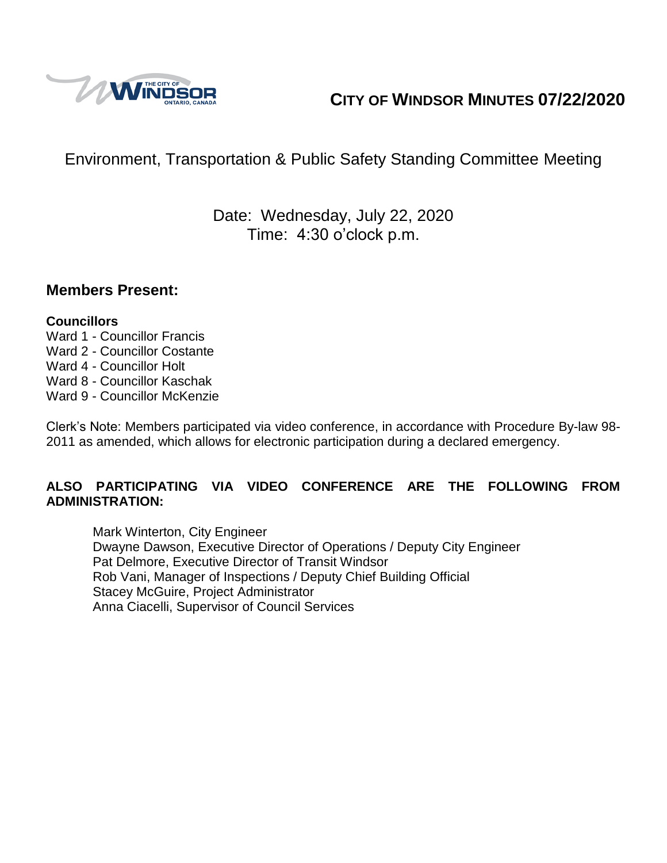

# **CITY OF WINDSOR MINUTES 07/22/2020**

# Environment, Transportation & Public Safety Standing Committee Meeting

Date: Wednesday, July 22, 2020 Time: 4:30 o'clock p.m.

#### **Members Present:**

#### **Councillors**

- Ward 1 Councillor Francis Ward 2 - Councillor Costante
- Ward 4 Councillor Holt
- Ward 8 Councillor Kaschak
- Ward 9 Councillor McKenzie

Clerk's Note: Members participated via video conference, in accordance with Procedure By-law 98- 2011 as amended, which allows for electronic participation during a declared emergency.

#### **ALSO PARTICIPATING VIA VIDEO CONFERENCE ARE THE FOLLOWING FROM ADMINISTRATION:**

Mark Winterton, City Engineer Dwayne Dawson, Executive Director of Operations / Deputy City Engineer Pat Delmore, Executive Director of Transit Windsor Rob Vani, Manager of Inspections / Deputy Chief Building Official Stacey McGuire, Project Administrator Anna Ciacelli, Supervisor of Council Services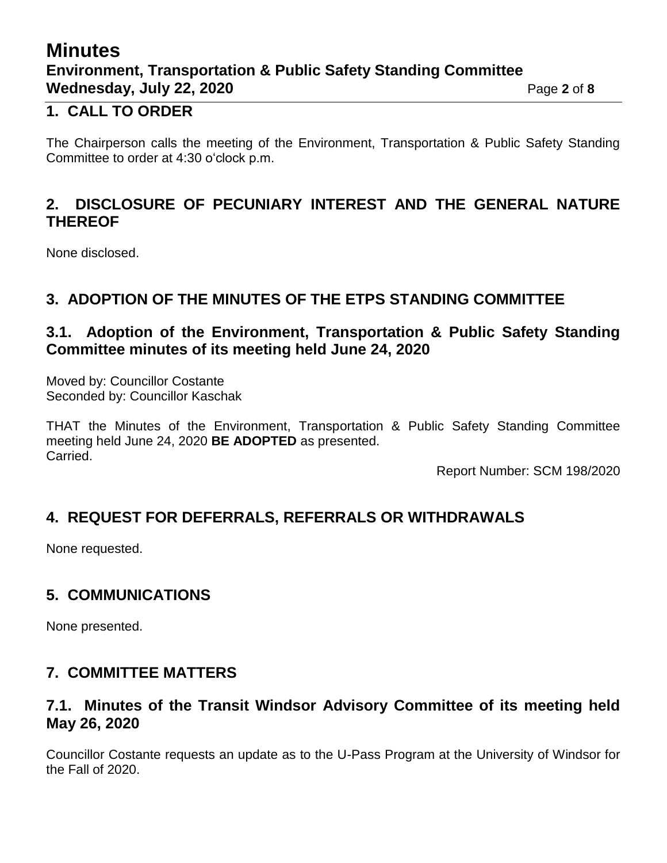# **Minutes Environment, Transportation & Public Safety Standing Committee Wednesday, July 22, 2020 Page 2** of 8

#### **1. CALL TO ORDER**

The Chairperson calls the meeting of the Environment, Transportation & Public Safety Standing Committee to order at 4:30 o'clock p.m.

### **2. DISCLOSURE OF PECUNIARY INTEREST AND THE GENERAL NATURE THEREOF**

None disclosed.

### **3. ADOPTION OF THE MINUTES OF THE ETPS STANDING COMMITTEE**

### **3.1. Adoption of the Environment, Transportation & Public Safety Standing Committee minutes of its meeting held June 24, 2020**

Moved by: Councillor Costante Seconded by: Councillor Kaschak

THAT the Minutes of the Environment, Transportation & Public Safety Standing Committee meeting held June 24, 2020 **BE ADOPTED** as presented. Carried.

Report Number: SCM 198/2020

### **4. REQUEST FOR DEFERRALS, REFERRALS OR WITHDRAWALS**

None requested.

### **5. COMMUNICATIONS**

None presented.

### **7. COMMITTEE MATTERS**

#### **7.1. Minutes of the Transit Windsor Advisory Committee of its meeting held May 26, 2020**

Councillor Costante requests an update as to the U-Pass Program at the University of Windsor for the Fall of 2020.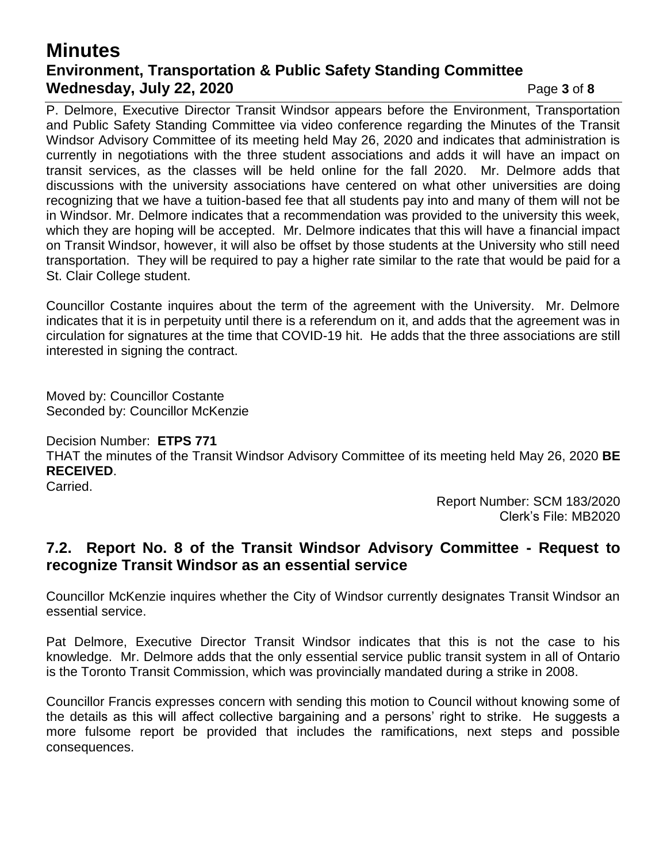## **Minutes Environment, Transportation & Public Safety Standing Committee Wednesday, July 22, 2020 Page 3 of 8**

P. Delmore, Executive Director Transit Windsor appears before the Environment, Transportation and Public Safety Standing Committee via video conference regarding the Minutes of the Transit Windsor Advisory Committee of its meeting held May 26, 2020 and indicates that administration is currently in negotiations with the three student associations and adds it will have an impact on transit services, as the classes will be held online for the fall 2020. Mr. Delmore adds that discussions with the university associations have centered on what other universities are doing recognizing that we have a tuition-based fee that all students pay into and many of them will not be in Windsor. Mr. Delmore indicates that a recommendation was provided to the university this week, which they are hoping will be accepted. Mr. Delmore indicates that this will have a financial impact on Transit Windsor, however, it will also be offset by those students at the University who still need transportation. They will be required to pay a higher rate similar to the rate that would be paid for a St. Clair College student.

Councillor Costante inquires about the term of the agreement with the University. Mr. Delmore indicates that it is in perpetuity until there is a referendum on it, and adds that the agreement was in circulation for signatures at the time that COVID-19 hit. He adds that the three associations are still interested in signing the contract.

Moved by: Councillor Costante Seconded by: Councillor McKenzie

#### Decision Number: **ETPS 771**

THAT the minutes of the Transit Windsor Advisory Committee of its meeting held May 26, 2020 **BE RECEIVED**.

Carried.

Report Number: SCM 183/2020 Clerk's File: MB2020

#### **7.2. Report No. 8 of the Transit Windsor Advisory Committee - Request to recognize Transit Windsor as an essential service**

Councillor McKenzie inquires whether the City of Windsor currently designates Transit Windsor an essential service.

Pat Delmore, Executive Director Transit Windsor indicates that this is not the case to his knowledge. Mr. Delmore adds that the only essential service public transit system in all of Ontario is the Toronto Transit Commission, which was provincially mandated during a strike in 2008.

Councillor Francis expresses concern with sending this motion to Council without knowing some of the details as this will affect collective bargaining and a persons' right to strike. He suggests a more fulsome report be provided that includes the ramifications, next steps and possible consequences.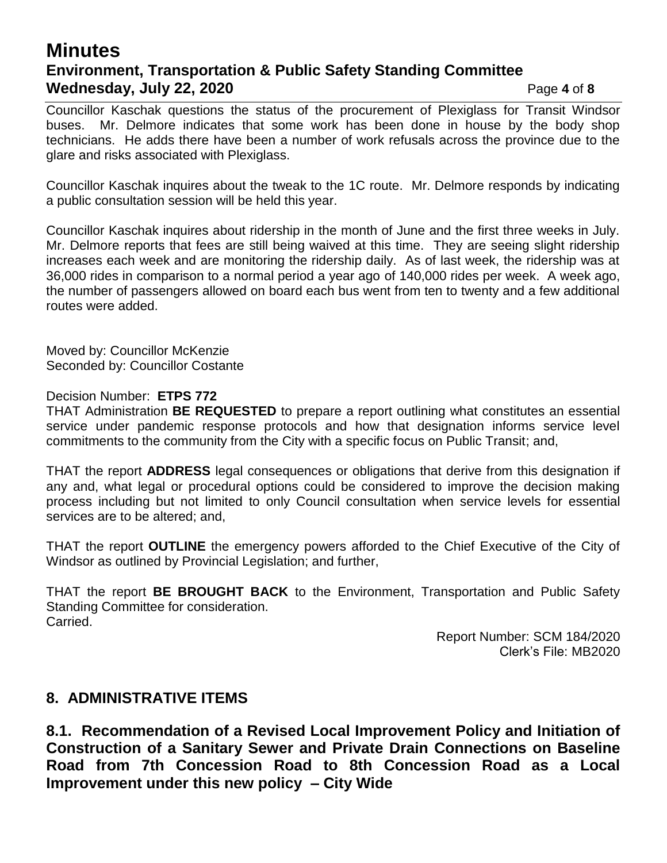## **Minutes Environment, Transportation & Public Safety Standing Committee Wednesday, July 22, 2020 Page 4** of 8

Councillor Kaschak questions the status of the procurement of Plexiglass for Transit Windsor buses. Mr. Delmore indicates that some work has been done in house by the body shop technicians. He adds there have been a number of work refusals across the province due to the glare and risks associated with Plexiglass.

Councillor Kaschak inquires about the tweak to the 1C route. Mr. Delmore responds by indicating a public consultation session will be held this year.

Councillor Kaschak inquires about ridership in the month of June and the first three weeks in July. Mr. Delmore reports that fees are still being waived at this time. They are seeing slight ridership increases each week and are monitoring the ridership daily. As of last week, the ridership was at 36,000 rides in comparison to a normal period a year ago of 140,000 rides per week. A week ago, the number of passengers allowed on board each bus went from ten to twenty and a few additional routes were added.

Moved by: Councillor McKenzie Seconded by: Councillor Costante

#### Decision Number: **ETPS 772**

THAT Administration **BE REQUESTED** to prepare a report outlining what constitutes an essential service under pandemic response protocols and how that designation informs service level commitments to the community from the City with a specific focus on Public Transit; and,

THAT the report **ADDRESS** legal consequences or obligations that derive from this designation if any and, what legal or procedural options could be considered to improve the decision making process including but not limited to only Council consultation when service levels for essential services are to be altered; and,

THAT the report **OUTLINE** the emergency powers afforded to the Chief Executive of the City of Windsor as outlined by Provincial Legislation; and further,

THAT the report **BE BROUGHT BACK** to the Environment, Transportation and Public Safety Standing Committee for consideration. Carried.

> Report Number: SCM 184/2020 Clerk's File: MB2020

#### **8. ADMINISTRATIVE ITEMS**

**8.1. Recommendation of a Revised Local Improvement Policy and Initiation of Construction of a Sanitary Sewer and Private Drain Connections on Baseline Road from 7th Concession Road to 8th Concession Road as a Local Improvement under this new policy – City Wide**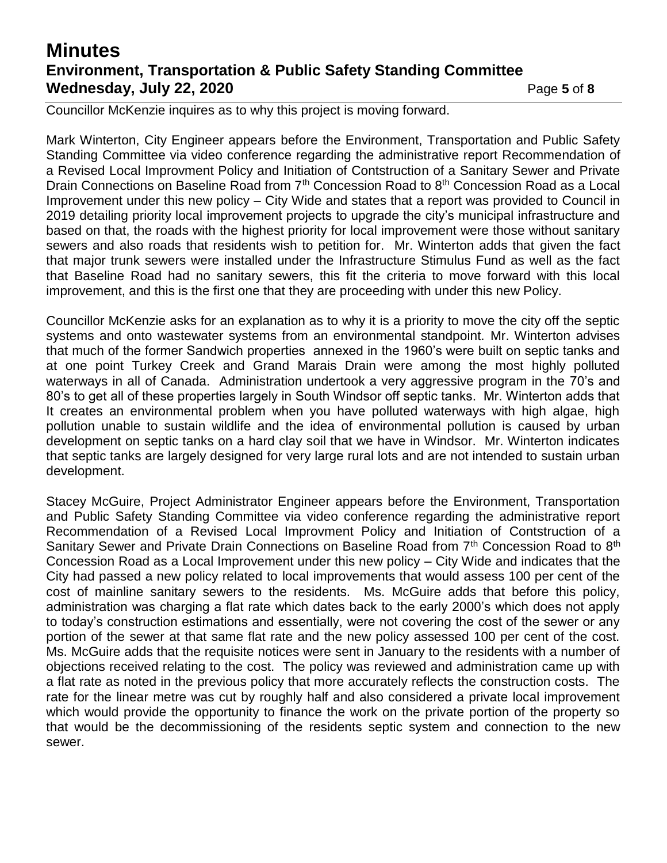# **Minutes Environment, Transportation & Public Safety Standing Committee Wednesday, July 22, 2020 Page 5** of 8

Councillor McKenzie inquires as to why this project is moving forward.

Mark Winterton, City Engineer appears before the Environment, Transportation and Public Safety Standing Committee via video conference regarding the administrative report Recommendation of a Revised Local Improvment Policy and Initiation of Contstruction of a Sanitary Sewer and Private Drain Connections on Baseline Road from 7<sup>th</sup> Concession Road to 8<sup>th</sup> Concession Road as a Local Improvement under this new policy – City Wide and states that a report was provided to Council in 2019 detailing priority local improvement projects to upgrade the city's municipal infrastructure and based on that, the roads with the highest priority for local improvement were those without sanitary sewers and also roads that residents wish to petition for. Mr. Winterton adds that given the fact that major trunk sewers were installed under the Infrastructure Stimulus Fund as well as the fact that Baseline Road had no sanitary sewers, this fit the criteria to move forward with this local improvement, and this is the first one that they are proceeding with under this new Policy.

Councillor McKenzie asks for an explanation as to why it is a priority to move the city off the septic systems and onto wastewater systems from an environmental standpoint. Mr. Winterton advises that much of the former Sandwich properties annexed in the 1960's were built on septic tanks and at one point Turkey Creek and Grand Marais Drain were among the most highly polluted waterways in all of Canada. Administration undertook a very aggressive program in the 70's and 80's to get all of these properties largely in South Windsor off septic tanks. Mr. Winterton adds that It creates an environmental problem when you have polluted waterways with high algae, high pollution unable to sustain wildlife and the idea of environmental pollution is caused by urban development on septic tanks on a hard clay soil that we have in Windsor. Mr. Winterton indicates that septic tanks are largely designed for very large rural lots and are not intended to sustain urban development.

Stacey McGuire, Project Administrator Engineer appears before the Environment, Transportation and Public Safety Standing Committee via video conference regarding the administrative report Recommendation of a Revised Local Improvment Policy and Initiation of Contstruction of a Sanitary Sewer and Private Drain Connections on Baseline Road from 7<sup>th</sup> Concession Road to 8<sup>th</sup> Concession Road as a Local Improvement under this new policy – City Wide and indicates that the City had passed a new policy related to local improvements that would assess 100 per cent of the cost of mainline sanitary sewers to the residents. Ms. McGuire adds that before this policy, administration was charging a flat rate which dates back to the early 2000's which does not apply to today's construction estimations and essentially, were not covering the cost of the sewer or any portion of the sewer at that same flat rate and the new policy assessed 100 per cent of the cost. Ms. McGuire adds that the requisite notices were sent in January to the residents with a number of objections received relating to the cost. The policy was reviewed and administration came up with a flat rate as noted in the previous policy that more accurately reflects the construction costs. The rate for the linear metre was cut by roughly half and also considered a private local improvement which would provide the opportunity to finance the work on the private portion of the property so that would be the decommissioning of the residents septic system and connection to the new sewer.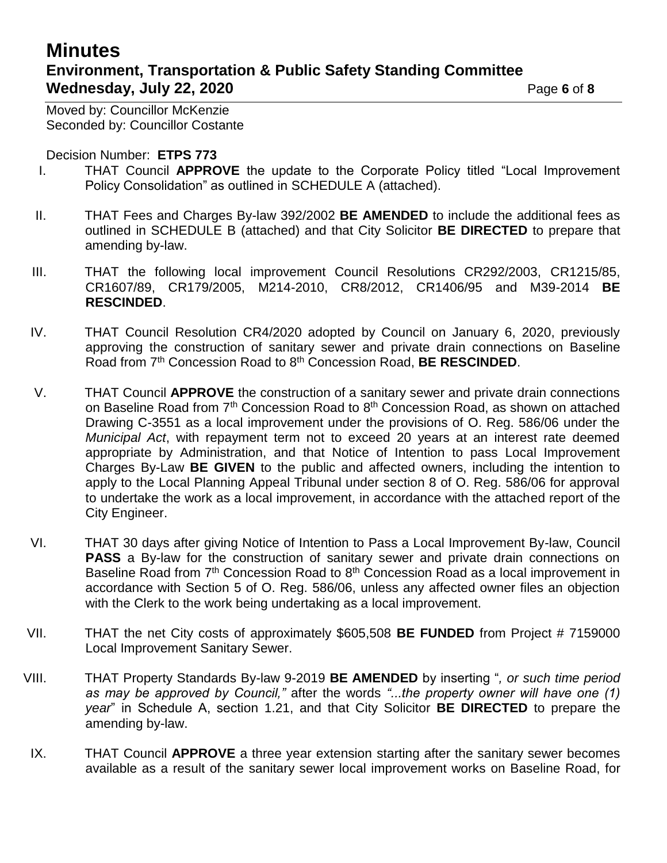# **Minutes Environment, Transportation & Public Safety Standing Committee Wednesday, July 22, 2020 Page 6** of 8

Moved by: Councillor McKenzie Seconded by: Councillor Costante

#### Decision Number: **ETPS 773**

- I. THAT Council **APPROVE** the update to the Corporate Policy titled "Local Improvement Policy Consolidation" as outlined in SCHEDULE A (attached).
- II. THAT Fees and Charges By-law 392/2002 **BE AMENDED** to include the additional fees as outlined in SCHEDULE B (attached) and that City Solicitor **BE DIRECTED** to prepare that amending by-law.
- III. THAT the following local improvement Council Resolutions CR292/2003, CR1215/85, CR1607/89, CR179/2005, M214-2010, CR8/2012, CR1406/95 and M39-2014 **BE RESCINDED**.
- IV. THAT Council Resolution CR4/2020 adopted by Council on January 6, 2020, previously approving the construction of sanitary sewer and private drain connections on Baseline Road from 7th Concession Road to 8th Concession Road, **BE RESCINDED**.
- V. THAT Council **APPROVE** the construction of a sanitary sewer and private drain connections on Baseline Road from 7<sup>th</sup> Concession Road to 8<sup>th</sup> Concession Road, as shown on attached Drawing C-3551 as a local improvement under the provisions of O. Reg. 586/06 under the *Municipal Act*, with repayment term not to exceed 20 years at an interest rate deemed appropriate by Administration, and that Notice of Intention to pass Local Improvement Charges By-Law **BE GIVEN** to the public and affected owners, including the intention to apply to the Local Planning Appeal Tribunal under section 8 of O. Reg. 586/06 for approval to undertake the work as a local improvement, in accordance with the attached report of the City Engineer.
- VI. THAT 30 days after giving Notice of Intention to Pass a Local Improvement By-law, Council **PASS** a By-law for the construction of sanitary sewer and private drain connections on Baseline Road from  $7<sup>th</sup>$  Concession Road to  $8<sup>th</sup>$  Concession Road as a local improvement in accordance with Section 5 of O. Reg. 586/06, unless any affected owner files an objection with the Clerk to the work being undertaking as a local improvement.
- VII. THAT the net City costs of approximately \$605,508 **BE FUNDED** from Project # 7159000 Local Improvement Sanitary Sewer.
- VIII. THAT Property Standards By-law 9-2019 **BE AMENDED** by inserting "*, or such time period as may be approved by Council,"* after the words *"...the property owner will have one (1) year*" in Schedule A, section 1.21, and that City Solicitor **BE DIRECTED** to prepare the amending by-law.
- IX. THAT Council **APPROVE** a three year extension starting after the sanitary sewer becomes available as a result of the sanitary sewer local improvement works on Baseline Road, for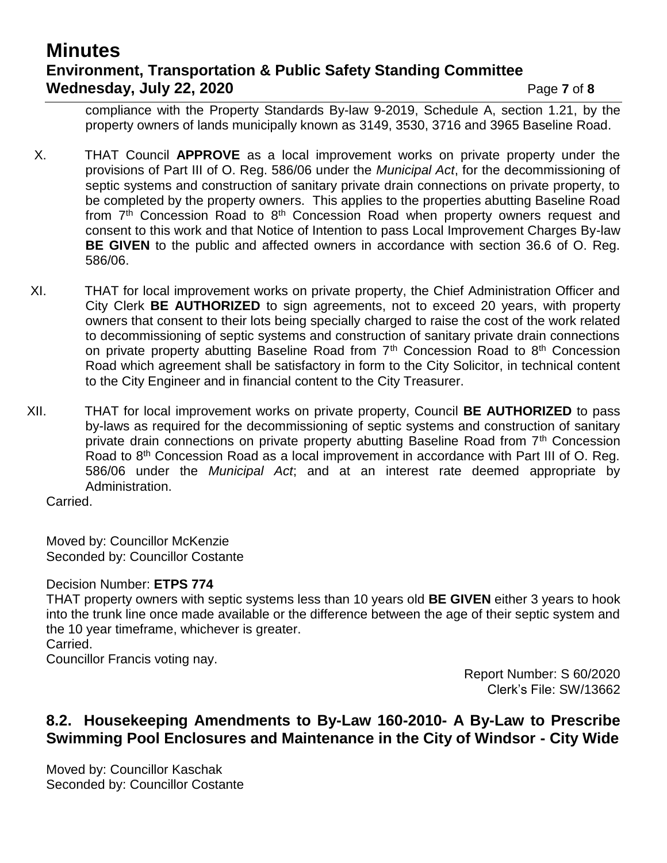# **Minutes Environment, Transportation & Public Safety Standing Committee Wednesday, July 22, 2020 Page 7** of 8

compliance with the Property Standards By-law 9-2019, Schedule A, section 1.21, by the property owners of lands municipally known as 3149, 3530, 3716 and 3965 Baseline Road.

- X. THAT Council **APPROVE** as a local improvement works on private property under the provisions of Part III of O. Reg. 586/06 under the *Municipal Act*, for the decommissioning of septic systems and construction of sanitary private drain connections on private property, to be completed by the property owners. This applies to the properties abutting Baseline Road from  $7<sup>th</sup>$  Concession Road to  $8<sup>th</sup>$  Concession Road when property owners request and consent to this work and that Notice of Intention to pass Local Improvement Charges By-law **BE GIVEN** to the public and affected owners in accordance with section 36.6 of O. Reg. 586/06.
- XI. THAT for local improvement works on private property, the Chief Administration Officer and City Clerk **BE AUTHORIZED** to sign agreements, not to exceed 20 years, with property owners that consent to their lots being specially charged to raise the cost of the work related to decommissioning of septic systems and construction of sanitary private drain connections on private property abutting Baseline Road from  $7<sup>th</sup>$  Concession Road to  $8<sup>th</sup>$  Concession Road which agreement shall be satisfactory in form to the City Solicitor, in technical content to the City Engineer and in financial content to the City Treasurer.
- XII. THAT for local improvement works on private property, Council **BE AUTHORIZED** to pass by-laws as required for the decommissioning of septic systems and construction of sanitary private drain connections on private property abutting Baseline Road from 7<sup>th</sup> Concession Road to 8<sup>th</sup> Concession Road as a local improvement in accordance with Part III of O. Reg. 586/06 under the *Municipal Act*; and at an interest rate deemed appropriate by Administration.

Carried.

Moved by: Councillor McKenzie Seconded by: Councillor Costante

Decision Number: **ETPS 774**

THAT property owners with septic systems less than 10 years old **BE GIVEN** either 3 years to hook into the trunk line once made available or the difference between the age of their septic system and the 10 year timeframe, whichever is greater.

Carried.

Councillor Francis voting nay.

Report Number: S 60/2020 Clerk's File: SW/13662

## **8.2. Housekeeping Amendments to By-Law 160-2010- A By-Law to Prescribe Swimming Pool Enclosures and Maintenance in the City of Windsor - City Wide**

Moved by: Councillor Kaschak Seconded by: Councillor Costante